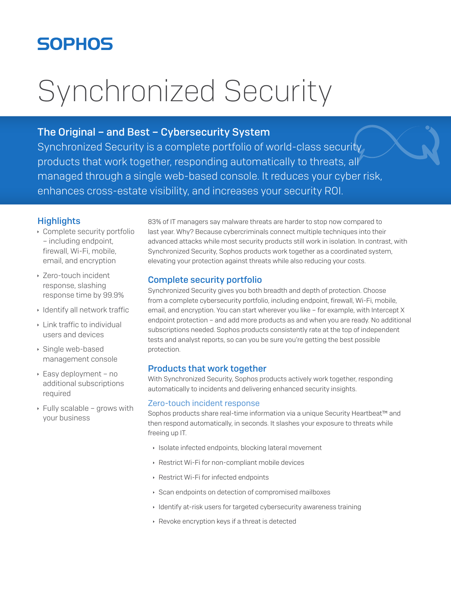# **SOPHOS**

# Synchronized Security

# The Original - and Best - Cybersecurity System

Synchronized Security is a complete portfolio of world-class security products that work together, responding automatically to threats, all managed through a single web-based console. It reduces your cyber risk, enhances cross-estate visibility, and increases your security ROI.

# **Highlights**

- Complete security portfolio - including endpoint, firewall, Wi-Fi, mobile, email, and encryption
- ▶ Zero-touch incident response, slashing response time by 99.9%
- ▶ Identify all network traffic
- ▸ Link traffic to individual users and devices
- ▶ Single web-based management console
- ▶ Easy deployment no additional subscriptions required
- ▶ Fully scalable grows with vour business

83% of IT managers say malware threats are harder to stop now compared to last year. Why? Because cybercriminals connect multiple techniques into their advanced attacks while most security products still work in isolation. In contrast, with Synchronized Security, Sophos products work together as a coordinated system, elevating your protection against threats while also reducing your costs.

# **Complete security portfolio**

Synchronized Security gives you both breadth and depth of protection. Choose from a complete cybersecurity portfolio, including endpoint, firewall, Wi-Fi, mobile, email, and encryption. You can start wherever you like - for example, with Intercept X endpoint protection - and add more products as and when you are ready. No additional subscriptions needed. Sophos products consistently rate at the top of independent tests and analyst reports, so can you be sure you're getting the best possible protection.

# **Products that work together**

With Synchronized Security, Sophos products actively work together, responding automatically to incidents and delivering enhanced security insights.

### Zero-touch incident response

Sophos products share real-time information via a unique Security Heartbeat™ and then respond automatically, in seconds. It slashes your exposure to threats while freeing up IT.

- > Isolate infected endpoints, blocking lateral movement
- ▶ Restrict Wi-Fi for non-compliant mobile devices
- ▶ Restrict Wi-Fi for infected endpoints
- Scan endpoints on detection of compromised mailboxes
- ▶ Identify at-risk users for targeted cybersecurity awareness training
- ▶ Revoke encryption keys if a threat is detected